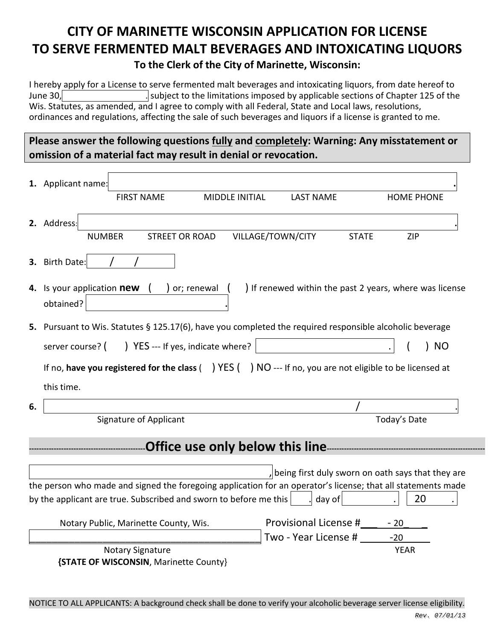# **CITY OF MARINETTE WISCONSIN APPLICATION FOR LICENSE TO SERVE FERMENTED MALT BEVERAGES AND INTOXICATING LIQUORS To the Clerk of the City of Marinette, Wisconsin:**

I hereby apply for a License to serve fermented malt beverages and intoxicating liquors, from date hereof to June 30, Subject to the limitations imposed by applicable sections of Chapter 125 of the Wis. Statutes, as amended, and I agree to comply with all Federal, State and Local laws, resolutions, ordinances and regulations, affecting the sale of such beverages and liquors if a license is granted to me.

**Please answer the following questions fully and completely: Warning: Any misstatement or omission of a material fact may result in denial or revocation.**

|    | 1. Applicant name:                                                                                                |                                                   |                   |  |
|----|-------------------------------------------------------------------------------------------------------------------|---------------------------------------------------|-------------------|--|
|    | <b>FIRST NAME</b><br><b>MIDDLE INITIAL</b>                                                                        | <b>LAST NAME</b>                                  | <b>HOME PHONE</b> |  |
|    | 2. Address:                                                                                                       |                                                   |                   |  |
|    | <b>NUMBER</b><br><b>STREET OR ROAD</b>                                                                            | VILLAGE/TOWN/CITY<br><b>STATE</b>                 | <b>ZIP</b>        |  |
|    | 3. Birth Date:                                                                                                    |                                                   |                   |  |
|    | ) If renewed within the past 2 years, where was license<br>4. Is your application new<br>or; renewal<br>obtained? |                                                   |                   |  |
|    | 5. Pursuant to Wis. Statutes § 125.17(6), have you completed the required responsible alcoholic beverage          |                                                   |                   |  |
|    | ) YES --- If yes, indicate where?<br>server course? (                                                             |                                                   | <b>NO</b>         |  |
|    | If no, have you registered for the class $($ $)$ YES $($ $)$ NO --- If no, you are not eligible to be licensed at |                                                   |                   |  |
|    | this time.                                                                                                        |                                                   |                   |  |
| 6. |                                                                                                                   |                                                   |                   |  |
|    | Signature of Applicant                                                                                            |                                                   | Today's Date      |  |
|    |                                                                                                                   |                                                   |                   |  |
|    |                                                                                                                   |                                                   |                   |  |
|    |                                                                                                                   | being first duly sworn on oath says that they are |                   |  |
|    | the person who made and signed the foregoing application for an operator's license; that all statements made      |                                                   |                   |  |
|    | by the applicant are true. Subscribed and sworn to before me this                                                 | day of                                            | 20                |  |
|    | Notary Public, Marinette County, Wis.                                                                             | Provisional License #                             | $-20$             |  |
|    |                                                                                                                   | Two - Year License #                              | $-20$             |  |
|    | <b>Notary Signature</b>                                                                                           |                                                   | <b>YEAR</b>       |  |
|    | {STATE OF WISCONSIN, Marinette County}                                                                            |                                                   |                   |  |

NOTICE TO ALL APPLICANTS: A background check shall be done to verify your alcoholic beverage server license eligibility.